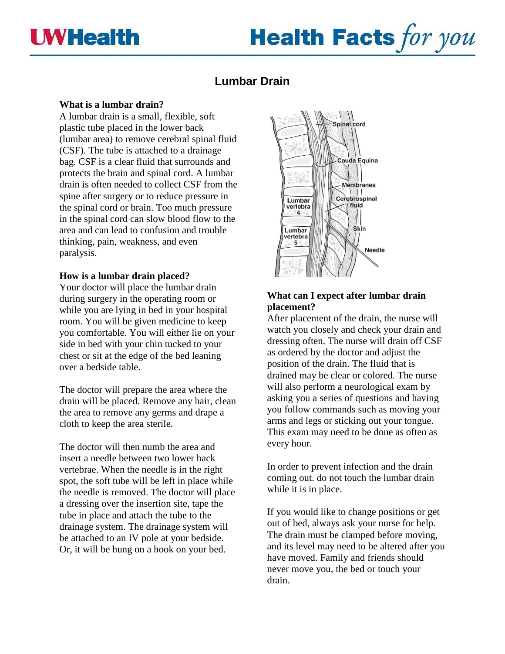

# **Health Facts for you**

# **Lumbar Drain**

## **What is a lumbar drain?**

A lumbar drain is a small, flexible, soft plastic tube placed in the lower back (lumbar area) to remove cerebral spinal fluid (CSF). The tube is attached to a drainage bag. CSF is a clear fluid that surrounds and protects the brain and spinal cord. A lumbar drain is often needed to collect CSF from the spine after surgery or to reduce pressure in the spinal cord or brain. Too much pressure in the spinal cord can slow blood flow to the area and can lead to confusion and trouble thinking, pain, weakness, and even paralysis.

## **How is a lumbar drain placed?**

Your doctor will place the lumbar drain during surgery in the operating room or while you are lying in bed in your hospital room. You will be given medicine to keep you comfortable. You will either lie on your side in bed with your chin tucked to your chest or sit at the edge of the bed leaning over a bedside table.

The doctor will prepare the area where the drain will be placed. Remove any hair, clean the area to remove any germs and drape a cloth to keep the area sterile.

The doctor will then numb the area and insert a needle between two lower back vertebrae. When the needle is in the right spot, the soft tube will be left in place while the needle is removed. The doctor will place a dressing over the insertion site, tape the tube in place and attach the tube to the drainage system. The drainage system will be attached to an IV pole at your bedside. Or, it will be hung on a hook on your bed.



# **What can I expect after lumbar drain placement?**

After placement of the drain, the nurse will watch you closely and check your drain and dressing often. The nurse will drain off CSF as ordered by the doctor and adjust the position of the drain. The fluid that is drained may be clear or colored. The nurse will also perform a neurological exam by asking you a series of questions and having you follow commands such as moving your arms and legs or sticking out your tongue. This exam may need to be done as often as every hour.

In order to prevent infection and the drain coming out. do not touch the lumbar drain while it is in place.

If you would like to change positions or get out of bed, always ask your nurse for help. The drain must be clamped before moving, and its level may need to be altered after you have moved. Family and friends should never move you, the bed or touch your drain.